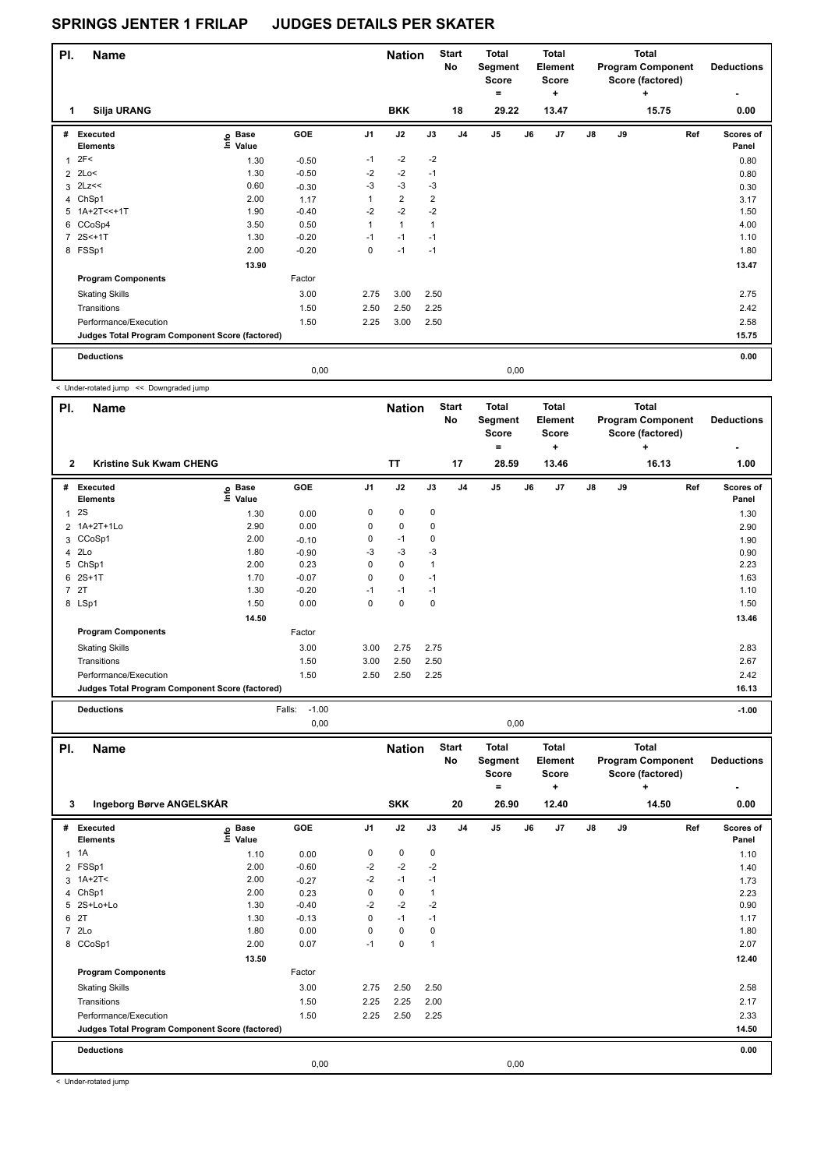| PI. | <b>Name</b>                                     |                                  |            |                | <b>Nation</b>  |                | <b>Start</b><br>No | <b>Total</b><br>Segment<br><b>Score</b><br>۰ |      | Total<br><b>Element</b><br><b>Score</b><br>$\ddot{}$ |    |    | Total<br><b>Program Component</b><br>Score (factored)<br>٠ | <b>Deductions</b>  |
|-----|-------------------------------------------------|----------------------------------|------------|----------------|----------------|----------------|--------------------|----------------------------------------------|------|------------------------------------------------------|----|----|------------------------------------------------------------|--------------------|
|     | Silja URANG                                     |                                  |            |                | <b>BKK</b>     |                | 18                 | 29.22                                        |      | 13.47                                                |    |    | 15.75                                                      | 0.00               |
| #   | <b>Executed</b><br><b>Elements</b>              | <b>Base</b><br>e Base<br>E Value | <b>GOE</b> | J <sub>1</sub> | J2             | J3             | J <sub>4</sub>     | J <sub>5</sub>                               | J6   | J <sub>7</sub>                                       | J8 | J9 | Ref                                                        | Scores of<br>Panel |
| 1   | 2F<                                             | 1.30                             | $-0.50$    | $-1$           | $-2$           | $-2$           |                    |                                              |      |                                                      |    |    |                                                            | 0.80               |
|     | $2$ 2Lo<                                        | 1.30                             | $-0.50$    | $-2$           | $-2$           | $-1$           |                    |                                              |      |                                                      |    |    |                                                            | 0.80               |
|     | $3$ 2Lz <<                                      | 0.60                             | $-0.30$    | $-3$           | $-3$           | $-3$           |                    |                                              |      |                                                      |    |    |                                                            | 0.30               |
|     | 4 ChSp1                                         | 2.00                             | 1.17       | 1              | $\overline{2}$ | $\overline{2}$ |                    |                                              |      |                                                      |    |    |                                                            | 3.17               |
|     | $5$ 1A+2T <<+1T                                 | 1.90                             | $-0.40$    | $-2$           | $-2$           | $-2$           |                    |                                              |      |                                                      |    |    |                                                            | 1.50               |
|     | 6 CCoSp4                                        | 3.50                             | 0.50       | 1              | $\mathbf{1}$   | $\mathbf{1}$   |                    |                                              |      |                                                      |    |    |                                                            | 4.00               |
|     | 7 2S<+1T                                        | 1.30                             | $-0.20$    | $-1$           | $-1$           | $-1$           |                    |                                              |      |                                                      |    |    |                                                            | 1.10               |
|     | 8 FSSp1                                         | 2.00                             | $-0.20$    | 0              | $-1$           | $-1$           |                    |                                              |      |                                                      |    |    |                                                            | 1.80               |
|     |                                                 | 13.90                            |            |                |                |                |                    |                                              |      |                                                      |    |    |                                                            | 13.47              |
|     | <b>Program Components</b>                       |                                  | Factor     |                |                |                |                    |                                              |      |                                                      |    |    |                                                            |                    |
|     | <b>Skating Skills</b>                           |                                  | 3.00       | 2.75           | 3.00           | 2.50           |                    |                                              |      |                                                      |    |    |                                                            | 2.75               |
|     | Transitions                                     |                                  | 1.50       | 2.50           | 2.50           | 2.25           |                    |                                              |      |                                                      |    |    |                                                            | 2.42               |
|     | Performance/Execution                           |                                  | 1.50       | 2.25           | 3.00           | 2.50           |                    |                                              |      |                                                      |    |    |                                                            | 2.58               |
|     | Judges Total Program Component Score (factored) |                                  |            |                |                |                |                    |                                              |      |                                                      |    |    |                                                            | 15.75              |
|     | <b>Deductions</b>                               |                                  |            |                |                |                |                    |                                              |      |                                                      |    |    |                                                            | 0.00               |
|     |                                                 |                                  | 0,00       |                |                |                |                    |                                              | 0,00 |                                                      |    |    |                                                            |                    |

< Under-rotated jump << Downgraded jump

| PI.            | <b>Name</b>                                     |                   |         |                | <b>Nation</b> |      | <b>Start</b><br>No | <b>Total</b><br>Segment<br><b>Score</b><br>= |    | <b>Total</b><br><b>Element</b><br><b>Score</b><br>٠ |    |    | <b>Total</b><br><b>Program Component</b><br>Score (factored)<br>÷ | <b>Deductions</b>  |
|----------------|-------------------------------------------------|-------------------|---------|----------------|---------------|------|--------------------|----------------------------------------------|----|-----------------------------------------------------|----|----|-------------------------------------------------------------------|--------------------|
| $\overline{2}$ | Kristine Suk Kwam CHENG                         |                   |         |                | <b>TT</b>     |      | 17                 | 28.59                                        |    | 13.46                                               |    |    | 16.13                                                             | 1.00               |
| #              | <b>Executed</b><br><b>Elements</b>              | e Base<br>⊑ Value | GOE     | J <sub>1</sub> | J2            | J3   | J <sub>4</sub>     | J <sub>5</sub>                               | J6 | J7                                                  | J8 | J9 | Ref                                                               | Scores of<br>Panel |
| 1              | 2S                                              | 1.30              | 0.00    | 0              | 0             | 0    |                    |                                              |    |                                                     |    |    |                                                                   | 1.30               |
|                | 2 1A+2T+1Lo                                     | 2.90              | 0.00    | 0              | $\mathbf 0$   | 0    |                    |                                              |    |                                                     |    |    |                                                                   | 2.90               |
|                | 3 CCoSp1                                        | 2.00              | $-0.10$ | 0              | $-1$          | 0    |                    |                                              |    |                                                     |    |    |                                                                   | 1.90               |
|                | 4 2Lo                                           | 1.80              | $-0.90$ | -3             | $-3$          | $-3$ |                    |                                              |    |                                                     |    |    |                                                                   | 0.90               |
| 5              | ChSp1                                           | 2.00              | 0.23    | 0              | 0             | 1    |                    |                                              |    |                                                     |    |    |                                                                   | 2.23               |
| 6              | $2S+1T$                                         | 1.70              | $-0.07$ | 0              | $\mathbf 0$   | $-1$ |                    |                                              |    |                                                     |    |    |                                                                   | 1.63               |
|                | 7 2T                                            | 1.30              | $-0.20$ | $-1$           | $-1$          | $-1$ |                    |                                              |    |                                                     |    |    |                                                                   | 1.10               |
|                | 8 LSp1                                          | 1.50              | 0.00    | 0              | 0             | 0    |                    |                                              |    |                                                     |    |    |                                                                   | 1.50               |
|                |                                                 | 14.50             |         |                |               |      |                    |                                              |    |                                                     |    |    |                                                                   | 13.46              |
|                | <b>Program Components</b>                       |                   | Factor  |                |               |      |                    |                                              |    |                                                     |    |    |                                                                   |                    |
|                | <b>Skating Skills</b>                           |                   | 3.00    | 3.00           | 2.75          | 2.75 |                    |                                              |    |                                                     |    |    |                                                                   | 2.83               |
|                | Transitions                                     |                   | 1.50    | 3.00           | 2.50          | 2.50 |                    |                                              |    |                                                     |    |    |                                                                   | 2.67               |
|                | Performance/Execution                           |                   | 1.50    | 2.50           | 2.50          | 2.25 |                    |                                              |    |                                                     |    |    |                                                                   | 2.42               |
|                | Judges Total Program Component Score (factored) |                   |         |                |               |      |                    |                                              |    |                                                     |    |    |                                                                   | 16.13              |
|                | <b>Deductions</b>                               | Falls:            | $-1.00$ |                |               |      |                    |                                              |    |                                                     |    |    |                                                                   | $-1.00$            |

0,00 0,00

| PI.            | <b>Name</b>                                     |                            |         |                | <b>Nation</b> |              | <b>Start</b><br>No | <b>Total</b><br>Segment<br>Score<br>= |    | <b>Total</b><br>Element<br><b>Score</b><br>÷ |               |    | <b>Total</b><br><b>Program Component</b><br>Score (factored)<br>÷ | <b>Deductions</b>  |
|----------------|-------------------------------------------------|----------------------------|---------|----------------|---------------|--------------|--------------------|---------------------------------------|----|----------------------------------------------|---------------|----|-------------------------------------------------------------------|--------------------|
| 3              | Ingeborg Børve ANGELSKÅR                        |                            |         |                | <b>SKK</b>    |              | 20                 | 26.90                                 |    | 12.40                                        |               |    | 14.50                                                             | 0.00               |
| #              | Executed<br><b>Elements</b>                     | e Base<br>E Value<br>Value | GOE     | J <sub>1</sub> | J2            | J3           | J <sub>4</sub>     | J5                                    | J6 | J7                                           | $\mathsf{J}8$ | J9 | Ref                                                               | Scores of<br>Panel |
| $\mathbf{1}$   | 1A                                              | 1.10                       | 0.00    | 0              | $\pmb{0}$     | 0            |                    |                                       |    |                                              |               |    |                                                                   | 1.10               |
|                | 2 FSSp1                                         | 2.00                       | $-0.60$ | $-2$           | $-2$          | $-2$         |                    |                                       |    |                                              |               |    |                                                                   | 1.40               |
|                | $3 \t1A+2T<$                                    | 2.00                       | $-0.27$ | $-2$           | $-1$          | $-1$         |                    |                                       |    |                                              |               |    |                                                                   | 1.73               |
|                | 4 ChSp1                                         | 2.00                       | 0.23    | 0              | $\pmb{0}$     | $\mathbf{1}$ |                    |                                       |    |                                              |               |    |                                                                   | 2.23               |
|                | 5 2S+Lo+Lo                                      | 1.30                       | $-0.40$ | $-2$           | $-2$          | $-2$         |                    |                                       |    |                                              |               |    |                                                                   | 0.90               |
|                | 6 2T                                            | 1.30                       | $-0.13$ | 0              | $-1$          | $-1$         |                    |                                       |    |                                              |               |    |                                                                   | 1.17               |
| $\overline{7}$ | 2Lo                                             | 1.80                       | 0.00    | $\Omega$       | $\mathbf 0$   | 0            |                    |                                       |    |                                              |               |    |                                                                   | 1.80               |
|                | 8 CCoSp1                                        | 2.00                       | 0.07    | $-1$           | 0             | 1            |                    |                                       |    |                                              |               |    |                                                                   | 2.07               |
|                |                                                 | 13.50                      |         |                |               |              |                    |                                       |    |                                              |               |    |                                                                   | 12.40              |
|                | <b>Program Components</b>                       |                            | Factor  |                |               |              |                    |                                       |    |                                              |               |    |                                                                   |                    |
|                | <b>Skating Skills</b>                           |                            | 3.00    | 2.75           | 2.50          | 2.50         |                    |                                       |    |                                              |               |    |                                                                   | 2.58               |
|                | Transitions                                     |                            | 1.50    | 2.25           | 2.25          | 2.00         |                    |                                       |    |                                              |               |    |                                                                   | 2.17               |
|                | Performance/Execution                           |                            | 1.50    | 2.25           | 2.50          | 2.25         |                    |                                       |    |                                              |               |    |                                                                   | 2.33               |
|                | Judges Total Program Component Score (factored) |                            |         |                |               |              |                    |                                       |    |                                              |               |    |                                                                   | 14.50              |
|                | <b>Deductions</b>                               |                            |         |                |               |              |                    |                                       |    |                                              |               |    |                                                                   | 0.00               |
|                |                                                 |                            | 0,00    |                |               |              |                    | 0,00                                  |    |                                              |               |    |                                                                   |                    |

< Under-rotated jump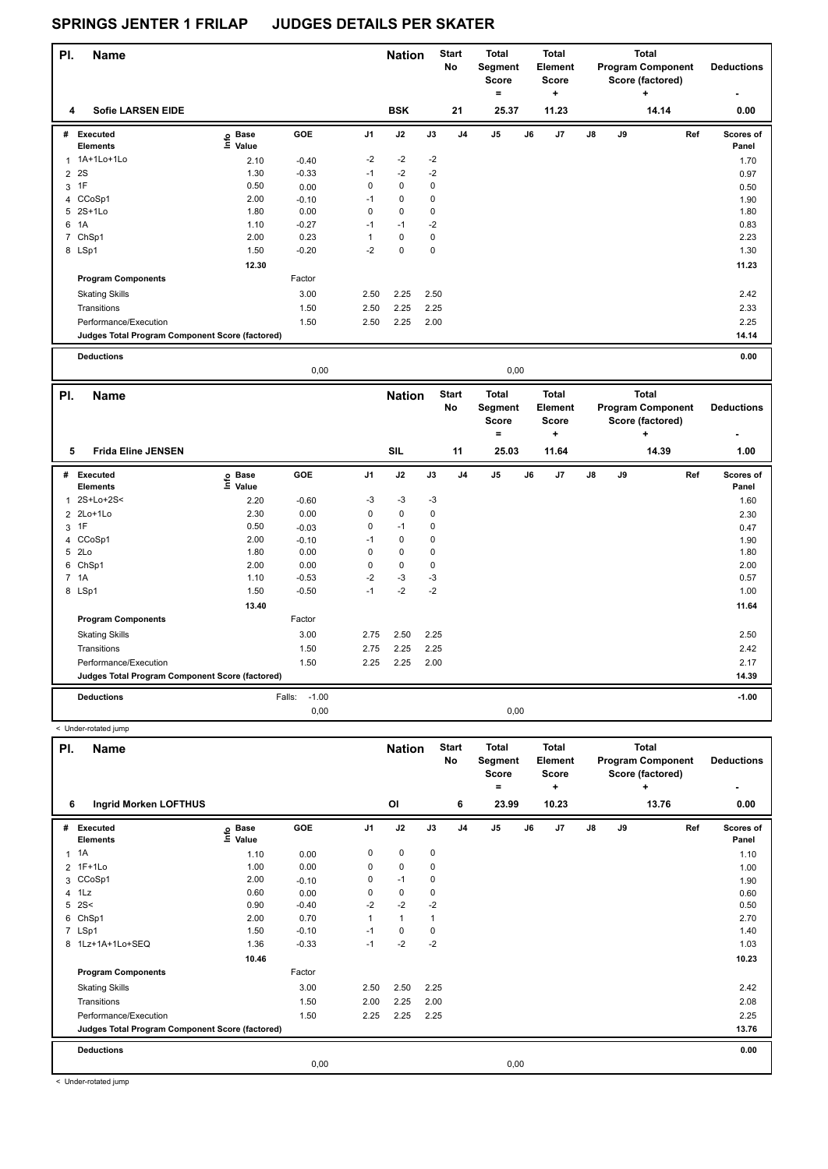| PI.            | Name                                            |                   |         |                | <b>Nation</b> |             | <b>Start</b><br>No | <b>Total</b><br>Segment<br><b>Score</b><br>$\equiv$ |      | <b>Total</b><br>Element<br><b>Score</b><br>٠ |               |    | <b>Total</b><br><b>Program Component</b><br>Score (factored)<br>٠ | <b>Deductions</b>  |
|----------------|-------------------------------------------------|-------------------|---------|----------------|---------------|-------------|--------------------|-----------------------------------------------------|------|----------------------------------------------|---------------|----|-------------------------------------------------------------------|--------------------|
| 4              | <b>Sofie LARSEN EIDE</b>                        |                   |         |                | <b>BSK</b>    |             | 21                 | 25.37                                               |      | 11.23                                        |               |    | 14.14                                                             | 0.00               |
| #              | Executed<br><b>Elements</b>                     | e Base<br>E Value | GOE     | J <sub>1</sub> | J2            | J3          | J <sub>4</sub>     | J <sub>5</sub>                                      | J6   | J7                                           | $\mathsf{J}8$ | J9 | Ref                                                               | Scores of<br>Panel |
| 1              | 1A+1Lo+1Lo                                      | 2.10              | $-0.40$ | $-2$           | $-2$          | $-2$        |                    |                                                     |      |                                              |               |    |                                                                   | 1.70               |
| $\overline{2}$ | 2S                                              | 1.30              | $-0.33$ | $-1$           | $-2$          | $-2$        |                    |                                                     |      |                                              |               |    |                                                                   | 0.97               |
| 3              | 1F                                              | 0.50              | 0.00    | 0              | $\mathbf 0$   | 0           |                    |                                                     |      |                                              |               |    |                                                                   | 0.50               |
|                | 4 CCoSp1                                        | 2.00              | $-0.10$ | $-1$           | $\mathbf 0$   | $\mathbf 0$ |                    |                                                     |      |                                              |               |    |                                                                   | 1.90               |
|                | 5 2S+1Lo                                        | 1.80              | 0.00    | 0              | $\mathbf 0$   | 0           |                    |                                                     |      |                                              |               |    |                                                                   | 1.80               |
| 6              | 1A                                              | 1.10              | $-0.27$ | $-1$           | $-1$          | $-2$        |                    |                                                     |      |                                              |               |    |                                                                   | 0.83               |
|                | 7 ChSp1                                         | 2.00              | 0.23    | 1              | $\mathbf 0$   | 0           |                    |                                                     |      |                                              |               |    |                                                                   | 2.23               |
|                | 8 LSp1                                          | 1.50              | $-0.20$ | $-2$           | $\pmb{0}$     | 0           |                    |                                                     |      |                                              |               |    |                                                                   | 1.30               |
|                |                                                 | 12.30             |         |                |               |             |                    |                                                     |      |                                              |               |    |                                                                   | 11.23              |
|                | <b>Program Components</b>                       |                   | Factor  |                |               |             |                    |                                                     |      |                                              |               |    |                                                                   |                    |
|                | <b>Skating Skills</b>                           |                   | 3.00    | 2.50           | 2.25          | 2.50        |                    |                                                     |      |                                              |               |    |                                                                   | 2.42               |
|                | Transitions                                     |                   | 1.50    | 2.50           | 2.25          | 2.25        |                    |                                                     |      |                                              |               |    |                                                                   | 2.33               |
|                | Performance/Execution                           |                   | 1.50    | 2.50           | 2.25          | 2.00        |                    |                                                     |      |                                              |               |    |                                                                   | 2.25               |
|                | Judges Total Program Component Score (factored) |                   |         |                |               |             |                    |                                                     |      |                                              |               |    |                                                                   | 14.14              |
|                | <b>Deductions</b>                               |                   |         |                |               |             |                    |                                                     |      |                                              |               |    |                                                                   | 0.00               |
|                |                                                 |                   | 0,00    |                |               |             |                    |                                                     | 0,00 |                                              |               |    |                                                                   |                    |

| PI. | <b>Name</b>                                     |                   |                   |                | <b>Nation</b> |      | <b>Start</b><br>No | <b>Total</b><br>Segment<br><b>Score</b><br>٠ |    | <b>Total</b><br>Element<br><b>Score</b><br>٠ |               |    | <b>Total</b><br><b>Program Component</b><br>Score (factored)<br>÷ | <b>Deductions</b>  |
|-----|-------------------------------------------------|-------------------|-------------------|----------------|---------------|------|--------------------|----------------------------------------------|----|----------------------------------------------|---------------|----|-------------------------------------------------------------------|--------------------|
| 5   | <b>Frida Eline JENSEN</b>                       |                   |                   |                | <b>SIL</b>    |      | 11                 | 25.03                                        |    | 11.64                                        |               |    | 14.39                                                             | 1.00               |
| #   | <b>Executed</b><br><b>Elements</b>              | e Base<br>⊑ Value | GOE               | J <sub>1</sub> | J2            | J3   | J <sub>4</sub>     | J5                                           | J6 | J7                                           | $\mathsf{J}8$ | J9 | Ref                                                               | Scores of<br>Panel |
| 1   | 2S+Lo+2S<                                       | 2.20              | $-0.60$           | $-3$           | $-3$          | $-3$ |                    |                                              |    |                                              |               |    |                                                                   | 1.60               |
|     | 2 2Lo+1Lo                                       | 2.30              | 0.00              | 0              | $\mathbf 0$   | 0    |                    |                                              |    |                                              |               |    |                                                                   | 2.30               |
|     | 3 1F                                            | 0.50              | $-0.03$           | 0              | $-1$          | 0    |                    |                                              |    |                                              |               |    |                                                                   | 0.47               |
|     | 4 CCoSp1                                        | 2.00              | $-0.10$           | $-1$           | 0             | 0    |                    |                                              |    |                                              |               |    |                                                                   | 1.90               |
|     | 5 2Lo                                           | 1.80              | 0.00              | 0              | 0             | 0    |                    |                                              |    |                                              |               |    |                                                                   | 1.80               |
| 6   | ChSp1                                           | 2.00              | 0.00              | 0              | $\mathbf 0$   | 0    |                    |                                              |    |                                              |               |    |                                                                   | 2.00               |
|     | 7 1A                                            | 1.10              | $-0.53$           | $-2$           | $-3$          | -3   |                    |                                              |    |                                              |               |    |                                                                   | 0.57               |
|     | 8 LSp1                                          | 1.50              | $-0.50$           | $-1$           | $-2$          | $-2$ |                    |                                              |    |                                              |               |    |                                                                   | 1.00               |
|     |                                                 | 13.40             |                   |                |               |      |                    |                                              |    |                                              |               |    |                                                                   | 11.64              |
|     | <b>Program Components</b>                       |                   | Factor            |                |               |      |                    |                                              |    |                                              |               |    |                                                                   |                    |
|     | <b>Skating Skills</b>                           |                   | 3.00              | 2.75           | 2.50          | 2.25 |                    |                                              |    |                                              |               |    |                                                                   | 2.50               |
|     | Transitions                                     |                   | 1.50              | 2.75           | 2.25          | 2.25 |                    |                                              |    |                                              |               |    |                                                                   | 2.42               |
|     | Performance/Execution                           |                   | 1.50              | 2.25           | 2.25          | 2.00 |                    |                                              |    |                                              |               |    |                                                                   | 2.17               |
|     | Judges Total Program Component Score (factored) |                   |                   |                |               |      |                    |                                              |    |                                              |               |    |                                                                   | 14.39              |
|     | <b>Deductions</b>                               |                   | $-1.00$<br>Falls: |                |               |      |                    |                                              |    |                                              |               |    |                                                                   | $-1.00$            |
|     |                                                 |                   | 0,00              |                |               |      |                    | 0,00                                         |    |                                              |               |    |                                                                   |                    |

| PI. | <b>Name</b>                                     |                   |         |                | <b>Nation</b>  |              | <b>Start</b><br>No | <b>Total</b><br>Segment<br><b>Score</b><br>= |    | <b>Total</b><br>Element<br><b>Score</b><br>٠ |               |    | <b>Total</b><br><b>Program Component</b><br>Score (factored)<br>÷ | <b>Deductions</b>  |
|-----|-------------------------------------------------|-------------------|---------|----------------|----------------|--------------|--------------------|----------------------------------------------|----|----------------------------------------------|---------------|----|-------------------------------------------------------------------|--------------------|
| 6   | <b>Ingrid Morken LOFTHUS</b>                    |                   |         |                | O <sub>l</sub> |              | 6                  | 23.99                                        |    | 10.23                                        |               |    | 13.76                                                             | 0.00               |
| #   | Executed<br><b>Elements</b>                     | e Base<br>E Value | GOE     | J <sub>1</sub> | J2             | J3           | J <sub>4</sub>     | J <sub>5</sub>                               | J6 | J7                                           | $\mathsf{J}8$ | J9 | Ref                                                               | Scores of<br>Panel |
|     | $1 \t1A$                                        | 1.10              | 0.00    | 0              | $\mathbf 0$    | $\mathbf 0$  |                    |                                              |    |                                              |               |    |                                                                   | 1.10               |
|     | 2 1F+1Lo                                        | 1.00              | 0.00    | 0              | $\mathbf 0$    | 0            |                    |                                              |    |                                              |               |    |                                                                   | 1.00               |
|     | 3 CCoSp1                                        | 2.00              | $-0.10$ | 0              | $-1$           | 0            |                    |                                              |    |                                              |               |    |                                                                   | 1.90               |
|     | 4 1Lz                                           | 0.60              | 0.00    | 0              | 0              | 0            |                    |                                              |    |                                              |               |    |                                                                   | 0.60               |
|     | $5$ 2S<                                         | 0.90              | $-0.40$ | $-2$           | $-2$           | $-2$         |                    |                                              |    |                                              |               |    |                                                                   | 0.50               |
| 6   | ChSp1                                           | 2.00              | 0.70    |                | $\mathbf{1}$   | $\mathbf{1}$ |                    |                                              |    |                                              |               |    |                                                                   | 2.70               |
|     | 7 LSp1                                          | 1.50              | $-0.10$ | $-1$           | 0              | 0            |                    |                                              |    |                                              |               |    |                                                                   | 1.40               |
|     | 8 1Lz+1A+1Lo+SEQ                                | 1.36              | $-0.33$ | $-1$           | $-2$           | $-2$         |                    |                                              |    |                                              |               |    |                                                                   | 1.03               |
|     |                                                 | 10.46             |         |                |                |              |                    |                                              |    |                                              |               |    |                                                                   | 10.23              |
|     | <b>Program Components</b>                       |                   | Factor  |                |                |              |                    |                                              |    |                                              |               |    |                                                                   |                    |
|     | <b>Skating Skills</b>                           |                   | 3.00    | 2.50           | 2.50           | 2.25         |                    |                                              |    |                                              |               |    |                                                                   | 2.42               |
|     | Transitions                                     |                   | 1.50    | 2.00           | 2.25           | 2.00         |                    |                                              |    |                                              |               |    |                                                                   | 2.08               |
|     | Performance/Execution                           |                   | 1.50    | 2.25           | 2.25           | 2.25         |                    |                                              |    |                                              |               |    |                                                                   | 2.25               |
|     | Judges Total Program Component Score (factored) |                   |         |                |                |              |                    |                                              |    |                                              |               |    |                                                                   | 13.76              |
|     | <b>Deductions</b>                               |                   |         |                |                |              |                    |                                              |    |                                              |               |    |                                                                   | 0.00               |
|     |                                                 |                   | 0,00    |                |                |              |                    | 0,00                                         |    |                                              |               |    |                                                                   |                    |

< Under-rotated jump

< Under-rotated jump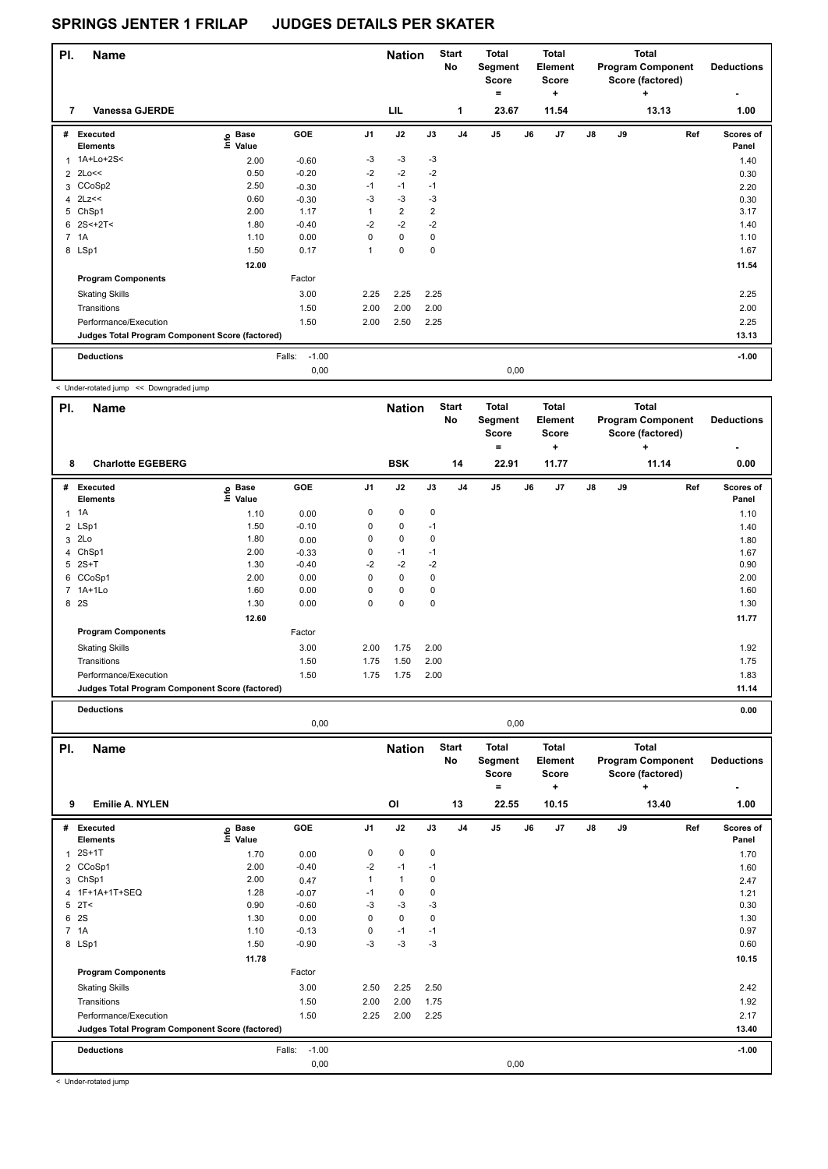| PI. | <b>Name</b>                                     |                            |                   |                | <b>Nation</b>  |                | <b>Start</b><br>No | <b>Total</b><br>Segment<br><b>Score</b><br>۰ |      | <b>Total</b><br>Element<br><b>Score</b><br>٠ |               |    | Total<br><b>Program Component</b><br>Score (factored)<br>÷ | <b>Deductions</b><br>٠ |
|-----|-------------------------------------------------|----------------------------|-------------------|----------------|----------------|----------------|--------------------|----------------------------------------------|------|----------------------------------------------|---------------|----|------------------------------------------------------------|------------------------|
| 7   | <b>Vanessa GJERDE</b>                           |                            |                   |                | <b>LIL</b>     |                | $\mathbf{1}$       | 23.67                                        |      | 11.54                                        |               |    | 13.13                                                      | 1.00                   |
| #   | Executed<br><b>Elements</b>                     | e Base<br>E Value<br>Value | <b>GOE</b>        | J <sub>1</sub> | J2             | J3             | J <sub>4</sub>     | J <sub>5</sub>                               | J6   | J <sub>7</sub>                               | $\mathsf{J}8$ | J9 | Ref                                                        | Scores of<br>Panel     |
| 1   | 1A+Lo+2S<                                       | 2.00                       | $-0.60$           | $-3$           | $-3$           | $-3$           |                    |                                              |      |                                              |               |    |                                                            | 1.40                   |
|     | $2$ 2Lo $<<$                                    | 0.50                       | $-0.20$           | $-2$           | $-2$           | $-2$           |                    |                                              |      |                                              |               |    |                                                            | 0.30                   |
|     | 3 CCoSp2                                        | 2.50                       | $-0.30$           | $-1$           | $-1$           | $-1$           |                    |                                              |      |                                              |               |    |                                                            | 2.20                   |
|     | $4$ 2Lz <<                                      | 0.60                       | $-0.30$           | $-3$           | $-3$           | $-3$           |                    |                                              |      |                                              |               |    |                                                            | 0.30                   |
|     | 5 ChSp1                                         | 2.00                       | 1.17              | $\mathbf{1}$   | $\overline{2}$ | $\overline{2}$ |                    |                                              |      |                                              |               |    |                                                            | 3.17                   |
|     | $6$ 2S < + 2T <                                 | 1.80                       | $-0.40$           | $-2$           | $-2$           | $-2$           |                    |                                              |      |                                              |               |    |                                                            | 1.40                   |
|     | 7 1A                                            | 1.10                       | 0.00              | 0              | $\mathbf 0$    | $\mathbf 0$    |                    |                                              |      |                                              |               |    |                                                            | 1.10                   |
|     | 8 LSp1                                          | 1.50                       | 0.17              | $\mathbf{1}$   | $\mathbf 0$    | $\mathbf 0$    |                    |                                              |      |                                              |               |    |                                                            | 1.67                   |
|     |                                                 | 12.00                      |                   |                |                |                |                    |                                              |      |                                              |               |    |                                                            | 11.54                  |
|     | <b>Program Components</b>                       |                            | Factor            |                |                |                |                    |                                              |      |                                              |               |    |                                                            |                        |
|     | <b>Skating Skills</b>                           |                            | 3.00              | 2.25           | 2.25           | 2.25           |                    |                                              |      |                                              |               |    |                                                            | 2.25                   |
|     | Transitions                                     |                            | 1.50              | 2.00           | 2.00           | 2.00           |                    |                                              |      |                                              |               |    |                                                            | 2.00                   |
|     | Performance/Execution                           |                            | 1.50              | 2.00           | 2.50           | 2.25           |                    |                                              |      |                                              |               |    |                                                            | 2.25                   |
|     | Judges Total Program Component Score (factored) |                            |                   |                |                |                |                    |                                              |      |                                              |               |    |                                                            | 13.13                  |
|     | <b>Deductions</b>                               |                            | $-1.00$<br>Falls: |                |                |                |                    |                                              |      |                                              |               |    |                                                            | $-1.00$                |
|     |                                                 |                            | 0,00              |                |                |                |                    |                                              | 0,00 |                                              |               |    |                                                            |                        |

< Under-rotated jump << Downgraded jump

| PI. | <b>Name</b>                                     |                            |         |                | <b>Nation</b> |           | <b>Start</b><br><b>No</b> | <b>Total</b><br>Segment<br><b>Score</b><br>۰ |    | <b>Total</b><br>Element<br>Score<br>$\ddot{}$ |    |    | <b>Total</b><br><b>Program Component</b><br>Score (factored)<br>٠ | <b>Deductions</b><br>۰ |
|-----|-------------------------------------------------|----------------------------|---------|----------------|---------------|-----------|---------------------------|----------------------------------------------|----|-----------------------------------------------|----|----|-------------------------------------------------------------------|------------------------|
| 8   | <b>Charlotte EGEBERG</b>                        |                            |         |                | <b>BSK</b>    |           | 14                        | 22.91                                        |    | 11.77                                         |    |    | 11.14                                                             | 0.00                   |
| #   | Executed<br><b>Elements</b>                     | e Base<br>⊆ Value<br>Value | GOE     | J <sub>1</sub> | J2            | J3        | J <sub>4</sub>            | J <sub>5</sub>                               | J6 | J <sub>7</sub>                                | J8 | J9 | Ref                                                               | Scores of<br>Panel     |
| 1   | 1A                                              | 1.10                       | 0.00    | 0              | $\mathbf 0$   | $\pmb{0}$ |                           |                                              |    |                                               |    |    |                                                                   | 1.10                   |
|     | 2 LSp1                                          | 1.50                       | $-0.10$ | 0              | $\mathbf 0$   | $-1$      |                           |                                              |    |                                               |    |    |                                                                   | 1.40                   |
| 3   | 2Lo                                             | 1.80                       | 0.00    | 0              | 0             | 0         |                           |                                              |    |                                               |    |    |                                                                   | 1.80                   |
|     | 4 ChSp1                                         | 2.00                       | $-0.33$ | 0              | $-1$          | $-1$      |                           |                                              |    |                                               |    |    |                                                                   | 1.67                   |
|     | $5$ 2S+T                                        | 1.30                       | $-0.40$ | $-2$           | $-2$          | $-2$      |                           |                                              |    |                                               |    |    |                                                                   | 0.90                   |
| 6   | CCoSp1                                          | 2.00                       | 0.00    | 0              | $\mathbf 0$   | 0         |                           |                                              |    |                                               |    |    |                                                                   | 2.00                   |
|     | 7 1A+1Lo                                        | 1.60                       | 0.00    | 0              | $\pmb{0}$     | 0         |                           |                                              |    |                                               |    |    |                                                                   | 1.60                   |
| 8   | 2S                                              | 1.30                       | 0.00    | 0              | $\pmb{0}$     | 0         |                           |                                              |    |                                               |    |    |                                                                   | 1.30                   |
|     |                                                 | 12.60                      |         |                |               |           |                           |                                              |    |                                               |    |    |                                                                   | 11.77                  |
|     | <b>Program Components</b>                       |                            | Factor  |                |               |           |                           |                                              |    |                                               |    |    |                                                                   |                        |
|     | <b>Skating Skills</b>                           |                            | 3.00    | 2.00           | 1.75          | 2.00      |                           |                                              |    |                                               |    |    |                                                                   | 1.92                   |
|     | Transitions                                     |                            | 1.50    | 1.75           | 1.50          | 2.00      |                           |                                              |    |                                               |    |    |                                                                   | 1.75                   |
|     | Performance/Execution                           |                            | 1.50    | 1.75           | 1.75          | 2.00      |                           |                                              |    |                                               |    |    |                                                                   | 1.83                   |
|     | Judges Total Program Component Score (factored) |                            |         |                |               |           |                           |                                              |    |                                               |    |    |                                                                   | 11.14                  |
|     | <b>Deductions</b>                               |                            |         |                |               |           |                           |                                              |    |                                               |    |    |                                                                   | 0.00                   |

|          |                                                 |                                  | 0,00              |                |                                 |      |                          |                                                       | 0,00 |                                                       |    |    |                                                                            |     |                           |
|----------|-------------------------------------------------|----------------------------------|-------------------|----------------|---------------------------------|------|--------------------------|-------------------------------------------------------|------|-------------------------------------------------------|----|----|----------------------------------------------------------------------------|-----|---------------------------|
| PI.<br>9 | <b>Name</b><br><b>Emilie A. NYLEN</b>           |                                  |                   |                | <b>Nation</b><br>O <sub>l</sub> |      | <b>Start</b><br>No<br>13 | <b>Total</b><br>Segment<br><b>Score</b><br>۰<br>22.55 |      | <b>Total</b><br>Element<br><b>Score</b><br>÷<br>10.15 |    |    | <b>Total</b><br><b>Program Component</b><br>Score (factored)<br>٠<br>13.40 |     | <b>Deductions</b><br>1.00 |
| #        | Executed<br><b>Elements</b>                     | <b>Base</b><br>e Base<br>⊑ Value | <b>GOE</b>        | J <sub>1</sub> | J2                              | J3   | J <sub>4</sub>           | J <sub>5</sub>                                        | J6   | J <sub>7</sub>                                        | J8 | J9 |                                                                            | Ref | Scores of<br>Panel        |
| 1        | $2S+1T$                                         | 1.70                             | 0.00              | 0              | $\mathbf 0$                     | 0    |                          |                                                       |      |                                                       |    |    |                                                                            |     | 1.70                      |
|          | 2 CCoSp1                                        | 2.00                             | $-0.40$           | $-2$           | $-1$                            | $-1$ |                          |                                                       |      |                                                       |    |    |                                                                            |     | 1.60                      |
| 3        | ChSp1                                           | 2.00                             | 0.47              | 1              | $\mathbf{1}$                    | 0    |                          |                                                       |      |                                                       |    |    |                                                                            |     | 2.47                      |
|          | 4 1F+1A+1T+SEQ                                  | 1.28                             | $-0.07$           | $-1$           | 0                               | 0    |                          |                                                       |      |                                                       |    |    |                                                                            |     | 1.21                      |
|          | $5$ $2T <$                                      | 0.90                             | $-0.60$           | -3             | $-3$                            | $-3$ |                          |                                                       |      |                                                       |    |    |                                                                            |     | 0.30                      |
| 6        | 2S                                              | 1.30                             | 0.00              | 0              | 0                               | 0    |                          |                                                       |      |                                                       |    |    |                                                                            |     | 1.30                      |
|          | 7 1A                                            | 1.10                             | $-0.13$           | 0              | $-1$                            | $-1$ |                          |                                                       |      |                                                       |    |    |                                                                            |     | 0.97                      |
|          | 8 LSp1                                          | 1.50                             | $-0.90$           | -3             | $-3$                            | $-3$ |                          |                                                       |      |                                                       |    |    |                                                                            |     | 0.60                      |
|          |                                                 | 11.78                            |                   |                |                                 |      |                          |                                                       |      |                                                       |    |    |                                                                            |     | 10.15                     |
|          | <b>Program Components</b>                       |                                  | Factor            |                |                                 |      |                          |                                                       |      |                                                       |    |    |                                                                            |     |                           |
|          | <b>Skating Skills</b>                           |                                  | 3.00              | 2.50           | 2.25                            | 2.50 |                          |                                                       |      |                                                       |    |    |                                                                            |     | 2.42                      |
|          | Transitions                                     |                                  | 1.50              | 2.00           | 2.00                            | 1.75 |                          |                                                       |      |                                                       |    |    |                                                                            |     | 1.92                      |
|          | Performance/Execution                           |                                  | 1.50              | 2.25           | 2.00                            | 2.25 |                          |                                                       |      |                                                       |    |    |                                                                            |     | 2.17                      |
|          | Judges Total Program Component Score (factored) |                                  |                   |                |                                 |      |                          |                                                       |      |                                                       |    |    |                                                                            |     | 13.40                     |
|          | <b>Deductions</b>                               |                                  | $-1.00$<br>Falls: |                |                                 |      |                          |                                                       |      |                                                       |    |    |                                                                            |     | $-1.00$                   |
|          |                                                 |                                  | 0,00              |                |                                 |      |                          |                                                       | 0,00 |                                                       |    |    |                                                                            |     |                           |

< Under-rotated jump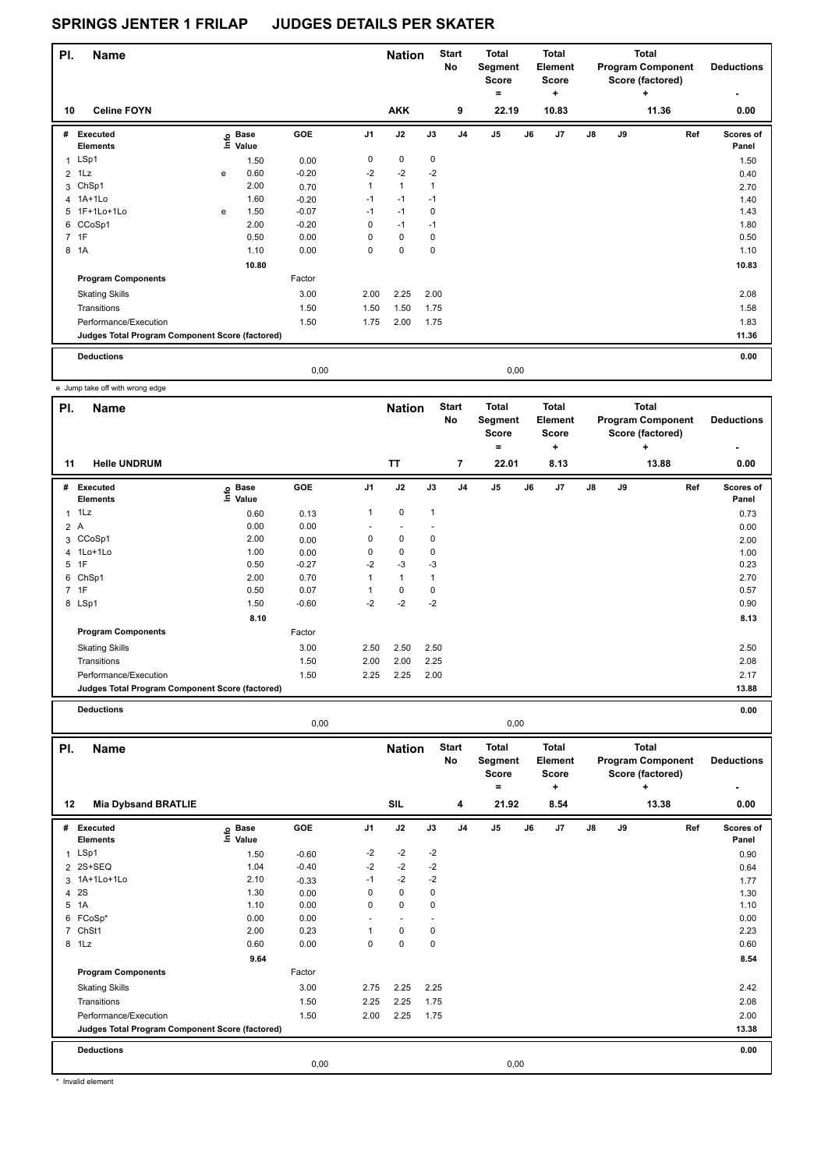| PI.            | <b>Name</b>                                     |   |                                  |         |                | <b>Nation</b>  |      | <b>Start</b><br>No | <b>Total</b><br>Segment<br>Score<br>۰ |      | Total<br><b>Element</b><br><b>Score</b><br>÷ |    |    | Total<br><b>Program Component</b><br>Score (factored)<br>٠ | <b>Deductions</b>  |
|----------------|-------------------------------------------------|---|----------------------------------|---------|----------------|----------------|------|--------------------|---------------------------------------|------|----------------------------------------------|----|----|------------------------------------------------------------|--------------------|
| 10             | <b>Celine FOYN</b>                              |   |                                  |         |                | <b>AKK</b>     |      | 9                  | 22.19                                 |      | 10.83                                        |    |    | 11.36                                                      | 0.00               |
| #              | Executed<br><b>Elements</b>                     |   | <b>Base</b><br>e Base<br>E Value | GOE     | J <sub>1</sub> | J2             | J3   | J <sub>4</sub>     | J <sub>5</sub>                        | J6   | J <sub>7</sub>                               | J8 | J9 | Ref                                                        | Scores of<br>Panel |
|                | 1 LSp1                                          |   | 1.50                             | 0.00    | 0              | 0              | 0    |                    |                                       |      |                                              |    |    |                                                            | 1.50               |
| $\overline{2}$ | 1Lz                                             | e | 0.60                             | $-0.20$ | $-2$           | $-2$           | $-2$ |                    |                                       |      |                                              |    |    |                                                            | 0.40               |
| 3              | ChSp1                                           |   | 2.00                             | 0.70    | 1              | $\overline{1}$ | 1    |                    |                                       |      |                                              |    |    |                                                            | 2.70               |
|                | 4 1A+1Lo                                        |   | 1.60                             | $-0.20$ | $-1$           | $-1$           | $-1$ |                    |                                       |      |                                              |    |    |                                                            | 1.40               |
|                | 5 1F+1Lo+1Lo                                    | e | 1.50                             | $-0.07$ | $-1$           | $-1$           | 0    |                    |                                       |      |                                              |    |    |                                                            | 1.43               |
|                | 6 CCoSp1                                        |   | 2.00                             | $-0.20$ | $\Omega$       | $-1$           | $-1$ |                    |                                       |      |                                              |    |    |                                                            | 1.80               |
|                | 7 1F                                            |   | 0.50                             | 0.00    | $\Omega$       | $\mathbf 0$    | 0    |                    |                                       |      |                                              |    |    |                                                            | 0.50               |
| 8              | 1A                                              |   | 1.10                             | 0.00    | 0              | 0              | 0    |                    |                                       |      |                                              |    |    |                                                            | 1.10               |
|                |                                                 |   | 10.80                            |         |                |                |      |                    |                                       |      |                                              |    |    |                                                            | 10.83              |
|                | <b>Program Components</b>                       |   |                                  | Factor  |                |                |      |                    |                                       |      |                                              |    |    |                                                            |                    |
|                | <b>Skating Skills</b>                           |   |                                  | 3.00    | 2.00           | 2.25           | 2.00 |                    |                                       |      |                                              |    |    |                                                            | 2.08               |
|                | Transitions                                     |   |                                  | 1.50    | 1.50           | 1.50           | 1.75 |                    |                                       |      |                                              |    |    |                                                            | 1.58               |
|                | Performance/Execution                           |   |                                  | 1.50    | 1.75           | 2.00           | 1.75 |                    |                                       |      |                                              |    |    |                                                            | 1.83               |
|                | Judges Total Program Component Score (factored) |   |                                  |         |                |                |      |                    |                                       |      |                                              |    |    |                                                            | 11.36              |
|                | <b>Deductions</b>                               |   |                                  |         |                |                |      |                    |                                       |      |                                              |    |    |                                                            | 0.00               |
|                |                                                 |   |                                  | 0,00    |                |                |      |                    |                                       | 0,00 |                                              |    |    |                                                            |                    |

e Jump take off with wrong edge

| PI.          | Name                                            |                           |         |                | <b>Nation</b> |              | <b>Start</b><br>No | <b>Total</b><br>Segment<br><b>Score</b><br>$=$ |    | <b>Total</b><br>Element<br>Score<br>٠ |               |    | <b>Total</b><br><b>Program Component</b><br>Score (factored)<br>$\ddot{}$ | <b>Deductions</b>  |
|--------------|-------------------------------------------------|---------------------------|---------|----------------|---------------|--------------|--------------------|------------------------------------------------|----|---------------------------------------|---------------|----|---------------------------------------------------------------------------|--------------------|
| 11           | <b>Helle UNDRUM</b>                             |                           |         |                | <b>TT</b>     |              | $\overline{7}$     | 22.01                                          |    | 8.13                                  |               |    | 13.88                                                                     | 0.00               |
| #            | Executed<br><b>Elements</b>                     | Base<br>e Base<br>⊑ Value | GOE     | J <sub>1</sub> | J2            | J3           | J <sub>4</sub>     | J <sub>5</sub>                                 | J6 | J7                                    | $\mathsf{J}8$ | J9 | Ref                                                                       | Scores of<br>Panel |
| $\mathbf{1}$ | 1Lz                                             | 0.60                      | 0.13    | 1              | $\mathbf 0$   | $\mathbf{1}$ |                    |                                                |    |                                       |               |    |                                                                           | 0.73               |
|              | 2A                                              | 0.00                      | 0.00    |                |               |              |                    |                                                |    |                                       |               |    |                                                                           | 0.00               |
|              | 3 CCoSp1                                        | 2.00                      | 0.00    | 0              | $\mathbf 0$   | 0            |                    |                                                |    |                                       |               |    |                                                                           | 2.00               |
|              | 4 1Lo+1Lo                                       | 1.00                      | 0.00    | 0              | $\mathbf 0$   | 0            |                    |                                                |    |                                       |               |    |                                                                           | 1.00               |
| 5            | 1F                                              | 0.50                      | $-0.27$ | $-2$           | $-3$          | $-3$         |                    |                                                |    |                                       |               |    |                                                                           | 0.23               |
|              | 6 ChSp1                                         | 2.00                      | 0.70    | 1              | $\mathbf{1}$  | 1            |                    |                                                |    |                                       |               |    |                                                                           | 2.70               |
|              | 7 1F                                            | 0.50                      | 0.07    |                | 0             | 0            |                    |                                                |    |                                       |               |    |                                                                           | 0.57               |
|              | 8 LSp1                                          | 1.50                      | $-0.60$ | $-2$           | $-2$          | $-2$         |                    |                                                |    |                                       |               |    |                                                                           | 0.90               |
|              |                                                 | 8.10                      |         |                |               |              |                    |                                                |    |                                       |               |    |                                                                           | 8.13               |
|              | <b>Program Components</b>                       |                           | Factor  |                |               |              |                    |                                                |    |                                       |               |    |                                                                           |                    |
|              | <b>Skating Skills</b>                           |                           | 3.00    | 2.50           | 2.50          | 2.50         |                    |                                                |    |                                       |               |    |                                                                           | 2.50               |
|              | Transitions                                     |                           | 1.50    | 2.00           | 2.00          | 2.25         |                    |                                                |    |                                       |               |    |                                                                           | 2.08               |
|              | Performance/Execution                           |                           | 1.50    | 2.25           | 2.25          | 2.00         |                    |                                                |    |                                       |               |    |                                                                           | 2.17               |
|              | Judges Total Program Component Score (factored) |                           |         |                |               |              |                    |                                                |    |                                       |               |    |                                                                           | 13.88              |
|              | <b>Deductions</b>                               |                           |         |                |               |              |                    |                                                |    |                                       |               |    |                                                                           | 0.00               |

|                |                                                 |                   | 0,00    |                |                             |           |                                |                                                         | 0,00 |                                                             |               |    |                                                                            |                           |
|----------------|-------------------------------------------------|-------------------|---------|----------------|-----------------------------|-----------|--------------------------------|---------------------------------------------------------|------|-------------------------------------------------------------|---------------|----|----------------------------------------------------------------------------|---------------------------|
| PI.<br>12      | Name<br><b>Mia Dybsand BRATLIE</b>              |                   |         |                | <b>Nation</b><br><b>SIL</b> |           | <b>Start</b><br><b>No</b><br>4 | <b>Total</b><br>Segment<br><b>Score</b><br>$=$<br>21.92 |      | <b>Total</b><br><b>Element</b><br><b>Score</b><br>+<br>8.54 |               |    | <b>Total</b><br><b>Program Component</b><br>Score (factored)<br>÷<br>13.38 | <b>Deductions</b><br>0.00 |
| #              | <b>Executed</b>                                 | <b>Base</b>       | GOE     | J <sub>1</sub> | J2                          | J3        | J <sub>4</sub>                 | J <sub>5</sub>                                          | J6   | J7                                                          | $\mathsf{J}8$ | J9 | Ref                                                                        | <b>Scores of</b>          |
|                | <b>Elements</b>                                 | e Base<br>E Value |         |                |                             |           |                                |                                                         |      |                                                             |               |    |                                                                            | Panel                     |
|                | 1 LSp1                                          | 1.50              | $-0.60$ | $-2$           | $-2$                        | $-2$      |                                |                                                         |      |                                                             |               |    |                                                                            | 0.90                      |
|                | 2 2S+SEQ                                        | 1.04              | $-0.40$ | $-2$           | $-2$                        | $-2$      |                                |                                                         |      |                                                             |               |    |                                                                            | 0.64                      |
|                | 3 1A+1Lo+1Lo                                    | 2.10              | $-0.33$ | $-1$           | $-2$                        | $-2$      |                                |                                                         |      |                                                             |               |    |                                                                            | 1.77                      |
| $\overline{4}$ | 2S                                              | 1.30              | 0.00    | 0              | $\mathbf 0$                 | $\pmb{0}$ |                                |                                                         |      |                                                             |               |    |                                                                            | 1.30                      |
| 5              | 1A                                              | 1.10              | 0.00    | 0              | $\mathbf 0$                 | 0         |                                |                                                         |      |                                                             |               |    |                                                                            | 1.10                      |
| 6              | FCoSp*                                          | 0.00              | 0.00    | ÷              | $\overline{\phantom{a}}$    | -         |                                |                                                         |      |                                                             |               |    |                                                                            | 0.00                      |
| $\overline{7}$ | ChSt1                                           | 2.00              | 0.23    | 1              | $\mathbf 0$                 | 0         |                                |                                                         |      |                                                             |               |    |                                                                            | 2.23                      |
| 8              | 1Lz                                             | 0.60              | 0.00    | 0              | $\mathbf 0$                 | $\pmb{0}$ |                                |                                                         |      |                                                             |               |    |                                                                            | 0.60                      |
|                |                                                 | 9.64              |         |                |                             |           |                                |                                                         |      |                                                             |               |    |                                                                            | 8.54                      |
|                | <b>Program Components</b>                       |                   | Factor  |                |                             |           |                                |                                                         |      |                                                             |               |    |                                                                            |                           |
|                | <b>Skating Skills</b>                           |                   | 3.00    | 2.75           | 2.25                        | 2.25      |                                |                                                         |      |                                                             |               |    |                                                                            | 2.42                      |
|                | Transitions                                     |                   | 1.50    | 2.25           | 2.25                        | 1.75      |                                |                                                         |      |                                                             |               |    |                                                                            | 2.08                      |
|                | Performance/Execution                           |                   | 1.50    | 2.00           | 2.25                        | 1.75      |                                |                                                         |      |                                                             |               |    |                                                                            | 2.00                      |
|                | Judges Total Program Component Score (factored) |                   |         |                |                             |           |                                |                                                         |      |                                                             |               |    |                                                                            | 13.38                     |
|                | <b>Deductions</b>                               |                   |         |                |                             |           |                                |                                                         |      |                                                             |               |    |                                                                            | 0.00                      |
|                |                                                 |                   | 0,00    |                |                             |           |                                |                                                         | 0,00 |                                                             |               |    |                                                                            |                           |

\* Invalid element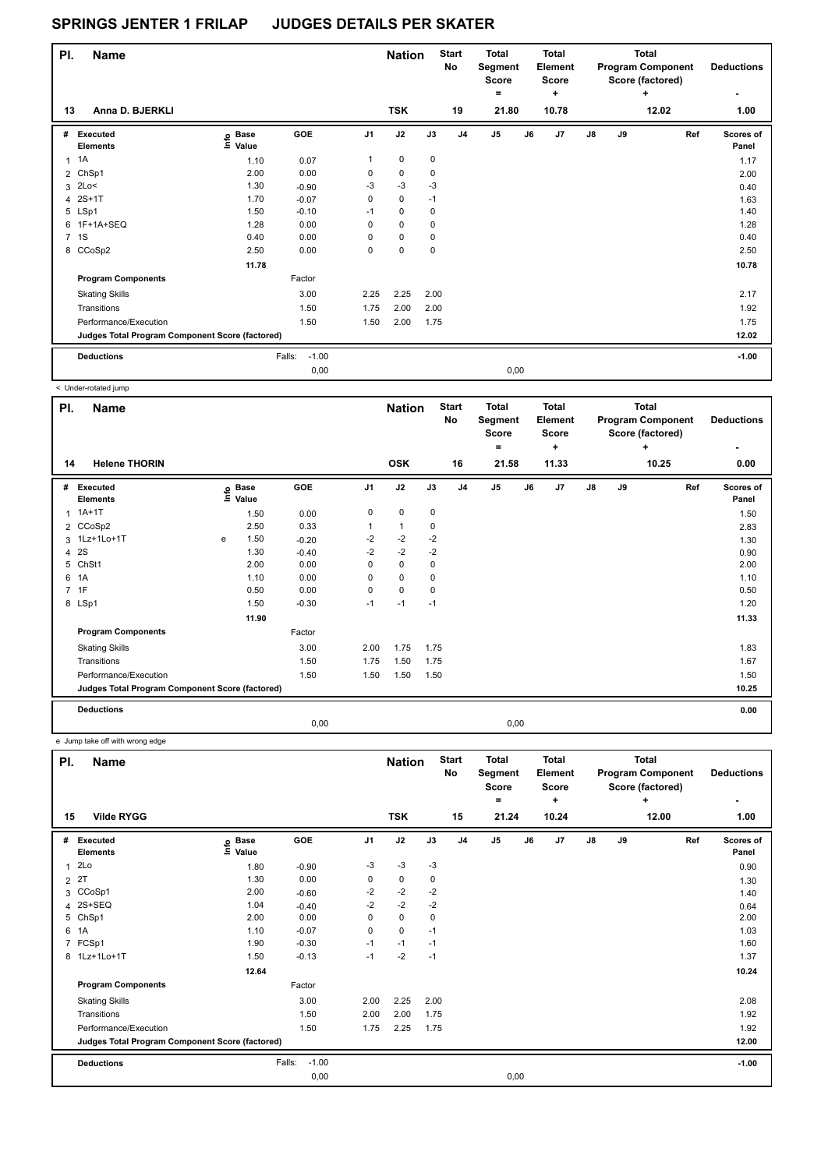| PI. | <b>Name</b>                                     |                                  |                   |                | <b>Nation</b> |             | <b>Start</b><br>No | Total<br>Segment<br><b>Score</b><br>۰ |      | <b>Total</b><br>Element<br><b>Score</b><br>÷ |               |    | <b>Total</b><br><b>Program Component</b><br>Score (factored)<br>٠ | <b>Deductions</b><br>۰ |
|-----|-------------------------------------------------|----------------------------------|-------------------|----------------|---------------|-------------|--------------------|---------------------------------------|------|----------------------------------------------|---------------|----|-------------------------------------------------------------------|------------------------|
| 13  | Anna D. BJERKLI                                 |                                  |                   |                | <b>TSK</b>    |             | 19                 | 21.80                                 |      | 10.78                                        |               |    | 12.02                                                             | 1.00                   |
| #   | Executed<br><b>Elements</b>                     | <b>Base</b><br>e Base<br>E Value | <b>GOE</b>        | J <sub>1</sub> | J2            | J3          | J <sub>4</sub>     | J <sub>5</sub>                        | J6   | J <sub>7</sub>                               | $\mathsf{J}8$ | J9 | Ref                                                               | Scores of<br>Panel     |
| 1   | 1A                                              | 1.10                             | 0.07              | 1              | $\mathbf 0$   | 0           |                    |                                       |      |                                              |               |    |                                                                   | 1.17                   |
|     | 2 ChSp1                                         | 2.00                             | 0.00              | 0              | 0             | 0           |                    |                                       |      |                                              |               |    |                                                                   | 2.00                   |
|     | $3$ 2Lo<                                        | 1.30                             | $-0.90$           | $-3$           | $-3$          | $-3$        |                    |                                       |      |                                              |               |    |                                                                   | 0.40                   |
|     | 4 2S+1T                                         | 1.70                             | $-0.07$           | 0              | $\mathbf 0$   | $-1$        |                    |                                       |      |                                              |               |    |                                                                   | 1.63                   |
|     | 5 LSp1                                          | 1.50                             | $-0.10$           | $-1$           | $\mathbf 0$   | $\mathbf 0$ |                    |                                       |      |                                              |               |    |                                                                   | 1.40                   |
|     | 6 1F+1A+SEQ                                     | 1.28                             | 0.00              | $\Omega$       | $\mathbf 0$   | $\mathbf 0$ |                    |                                       |      |                                              |               |    |                                                                   | 1.28                   |
|     | 7 1S                                            | 0.40                             | 0.00              | 0              | $\mathbf 0$   | $\mathbf 0$ |                    |                                       |      |                                              |               |    |                                                                   | 0.40                   |
|     | 8 CCoSp2                                        | 2.50                             | 0.00              | 0              | $\mathbf 0$   | $\mathbf 0$ |                    |                                       |      |                                              |               |    |                                                                   | 2.50                   |
|     |                                                 | 11.78                            |                   |                |               |             |                    |                                       |      |                                              |               |    |                                                                   | 10.78                  |
|     | <b>Program Components</b>                       |                                  | Factor            |                |               |             |                    |                                       |      |                                              |               |    |                                                                   |                        |
|     | <b>Skating Skills</b>                           |                                  | 3.00              | 2.25           | 2.25          | 2.00        |                    |                                       |      |                                              |               |    |                                                                   | 2.17                   |
|     | Transitions                                     |                                  | 1.50              | 1.75           | 2.00          | 2.00        |                    |                                       |      |                                              |               |    |                                                                   | 1.92                   |
|     | Performance/Execution                           |                                  | 1.50              | 1.50           | 2.00          | 1.75        |                    |                                       |      |                                              |               |    |                                                                   | 1.75                   |
|     | Judges Total Program Component Score (factored) |                                  |                   |                |               |             |                    |                                       |      |                                              |               |    |                                                                   | 12.02                  |
|     | <b>Deductions</b>                               |                                  | $-1.00$<br>Falls: |                |               |             |                    |                                       |      |                                              |               |    |                                                                   | $-1.00$                |
|     |                                                 |                                  | 0.00              |                |               |             |                    |                                       | 0,00 |                                              |               |    |                                                                   |                        |

| < Under-rotated jump          |                                                 |                      |            |                |                             |             |                          |                                              |       |                                                       |               |    |                                                                            |     |                                |
|-------------------------------|-------------------------------------------------|----------------------|------------|----------------|-----------------------------|-------------|--------------------------|----------------------------------------------|-------|-------------------------------------------------------|---------------|----|----------------------------------------------------------------------------|-----|--------------------------------|
| PI.<br><b>Name</b><br>14      | <b>Helene THORIN</b>                            |                      |            |                | <b>Nation</b><br><b>OSK</b> |             | <b>Start</b><br>No<br>16 | <b>Total</b><br>Segment<br><b>Score</b><br>۰ | 21.58 | <b>Total</b><br>Element<br><b>Score</b><br>٠<br>11.33 |               |    | <b>Total</b><br><b>Program Component</b><br>Score (factored)<br>٠<br>10.25 |     | <b>Deductions</b><br>٠<br>0.00 |
|                               |                                                 |                      |            |                |                             |             |                          |                                              |       |                                                       |               |    |                                                                            |     |                                |
| # Executed<br><b>Elements</b> | ١nf٥                                            | <b>Base</b><br>Value | <b>GOE</b> | J <sub>1</sub> | J2                          | J3          | J <sub>4</sub>           | J <sub>5</sub>                               | J6    | J7                                                    | $\mathsf{J}8$ | J9 |                                                                            | Ref | Scores of<br>Panel             |
| $1A+1T$                       |                                                 | 1.50                 | 0.00       | 0              | 0                           | $\mathbf 0$ |                          |                                              |       |                                                       |               |    |                                                                            |     | 1.50                           |
| 2 CCoSp2                      |                                                 | 2.50                 | 0.33       | $\mathbf{1}$   | $\mathbf{1}$                | 0           |                          |                                              |       |                                                       |               |    |                                                                            |     | 2.83                           |
| 3 1Lz+1Lo+1T                  | e                                               | 1.50                 | $-0.20$    | $-2$           | $-2$                        | $-2$        |                          |                                              |       |                                                       |               |    |                                                                            |     | 1.30                           |
| 2S<br>$\overline{4}$          |                                                 | 1.30                 | $-0.40$    | $-2$           | $-2$                        | $-2$        |                          |                                              |       |                                                       |               |    |                                                                            |     | 0.90                           |
| ChSt1<br>5                    |                                                 | 2.00                 | 0.00       | 0              | $\mathbf 0$                 | 0           |                          |                                              |       |                                                       |               |    |                                                                            |     | 2.00                           |
| 1A<br>6                       |                                                 | 1.10                 | 0.00       | $\mathbf 0$    | $\mathbf 0$                 | $\mathbf 0$ |                          |                                              |       |                                                       |               |    |                                                                            |     | 1.10                           |
| 1F<br>$\overline{7}$          |                                                 | 0.50                 | 0.00       | 0              | $\mathbf 0$                 | 0           |                          |                                              |       |                                                       |               |    |                                                                            |     | 0.50                           |
| 8 LSp1                        |                                                 | 1.50                 | $-0.30$    | $-1$           | $-1$                        | $-1$        |                          |                                              |       |                                                       |               |    |                                                                            |     | 1.20                           |
|                               |                                                 | 11.90                |            |                |                             |             |                          |                                              |       |                                                       |               |    |                                                                            |     | 11.33                          |
|                               | <b>Program Components</b>                       |                      | Factor     |                |                             |             |                          |                                              |       |                                                       |               |    |                                                                            |     |                                |
| <b>Skating Skills</b>         |                                                 |                      | 3.00       | 2.00           | 1.75                        | 1.75        |                          |                                              |       |                                                       |               |    |                                                                            |     | 1.83                           |
| Transitions                   |                                                 |                      | 1.50       | 1.75           | 1.50                        | 1.75        |                          |                                              |       |                                                       |               |    |                                                                            |     | 1.67                           |
|                               | Performance/Execution                           |                      | 1.50       | 1.50           | 1.50                        | 1.50        |                          |                                              |       |                                                       |               |    |                                                                            |     | 1.50                           |
|                               | Judges Total Program Component Score (factored) |                      |            |                |                             |             |                          |                                              |       |                                                       |               |    |                                                                            |     | 10.25                          |
| <b>Deductions</b>             |                                                 |                      |            |                |                             |             |                          |                                              |       |                                                       |               |    |                                                                            |     | 0.00                           |
|                               |                                                 |                      | 0,00       |                |                             |             |                          |                                              | 0,00  |                                                       |               |    |                                                                            |     |                                |

e Jump take off with wrong edge

| PI.            | <b>Name</b>                                     |                   |                   |                | <b>Nation</b> |             | <b>Start</b><br>No | <b>Total</b><br>Segment<br><b>Score</b><br>$\equiv$ |      | <b>Total</b><br>Element<br><b>Score</b><br>÷ |               |    | <b>Total</b><br><b>Program Component</b><br>Score (factored)<br>÷ | <b>Deductions</b><br>٠    |
|----------------|-------------------------------------------------|-------------------|-------------------|----------------|---------------|-------------|--------------------|-----------------------------------------------------|------|----------------------------------------------|---------------|----|-------------------------------------------------------------------|---------------------------|
| 15             | <b>Vilde RYGG</b>                               |                   |                   |                | <b>TSK</b>    |             | 15                 | 21.24                                               |      | 10.24                                        |               |    | 12.00                                                             | 1.00                      |
| #              | <b>Executed</b><br><b>Elements</b>              | e Base<br>⊆ Value | <b>GOE</b>        | J <sub>1</sub> | J2            | J3          | J <sub>4</sub>     | J <sub>5</sub>                                      | J6   | J <sub>7</sub>                               | $\mathsf{J}8$ | J9 | Ref                                                               | <b>Scores of</b><br>Panel |
| 1              | 2Lo                                             | 1.80              | $-0.90$           | $-3$           | -3            | $-3$        |                    |                                                     |      |                                              |               |    |                                                                   | 0.90                      |
| $\overline{2}$ | 2T                                              | 1.30              | 0.00              | 0              | $\pmb{0}$     | 0           |                    |                                                     |      |                                              |               |    |                                                                   | 1.30                      |
| 3              | CCoSp1                                          | 2.00              | $-0.60$           | $-2$           | $-2$          | $-2$        |                    |                                                     |      |                                              |               |    |                                                                   | 1.40                      |
| 4              | 2S+SEQ                                          | 1.04              | $-0.40$           | $-2$           | $-2$          | $-2$        |                    |                                                     |      |                                              |               |    |                                                                   | 0.64                      |
| 5              | ChSp1                                           | 2.00              | 0.00              | 0              | $\mathbf 0$   | $\mathbf 0$ |                    |                                                     |      |                                              |               |    |                                                                   | 2.00                      |
| 6              | 1A                                              | 1.10              | $-0.07$           | 0              | $\mathbf 0$   | $-1$        |                    |                                                     |      |                                              |               |    |                                                                   | 1.03                      |
| $\overline{7}$ | FCSp1                                           | 1.90              | $-0.30$           | $-1$           | $-1$          | $-1$        |                    |                                                     |      |                                              |               |    |                                                                   | 1.60                      |
|                | 8 1Lz+1Lo+1T                                    | 1.50              | $-0.13$           | $-1$           | $-2$          | $-1$        |                    |                                                     |      |                                              |               |    |                                                                   | 1.37                      |
|                |                                                 | 12.64             |                   |                |               |             |                    |                                                     |      |                                              |               |    |                                                                   | 10.24                     |
|                | <b>Program Components</b>                       |                   | Factor            |                |               |             |                    |                                                     |      |                                              |               |    |                                                                   |                           |
|                | <b>Skating Skills</b>                           |                   | 3.00              | 2.00           | 2.25          | 2.00        |                    |                                                     |      |                                              |               |    |                                                                   | 2.08                      |
|                | Transitions                                     |                   | 1.50              | 2.00           | 2.00          | 1.75        |                    |                                                     |      |                                              |               |    |                                                                   | 1.92                      |
|                | Performance/Execution                           |                   | 1.50              | 1.75           | 2.25          | 1.75        |                    |                                                     |      |                                              |               |    |                                                                   | 1.92                      |
|                | Judges Total Program Component Score (factored) |                   |                   |                |               |             |                    |                                                     |      |                                              |               |    |                                                                   | 12.00                     |
|                | <b>Deductions</b>                               |                   | $-1.00$<br>Falls: |                |               |             |                    |                                                     |      |                                              |               |    |                                                                   | $-1.00$                   |
|                |                                                 |                   | 0,00              |                |               |             |                    |                                                     | 0,00 |                                              |               |    |                                                                   |                           |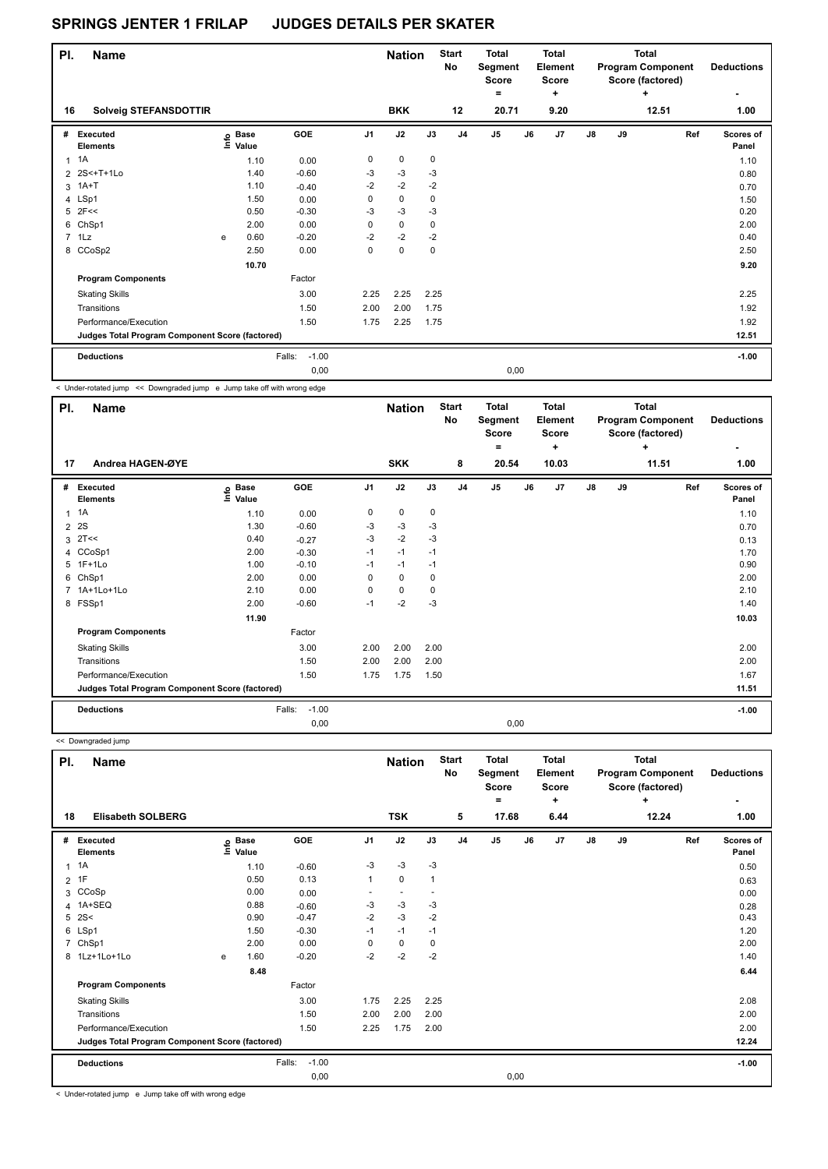| PI. | <b>Name</b>                                     |                   |             |                   |                | <b>Nation</b> |             | <b>Start</b><br>No | Total<br>Segment<br><b>Score</b><br>۰ |      | <b>Total</b><br>Element<br><b>Score</b><br>÷ |    |    | Total<br><b>Program Component</b><br>Score (factored)<br>٠ | <b>Deductions</b><br>۰ |
|-----|-------------------------------------------------|-------------------|-------------|-------------------|----------------|---------------|-------------|--------------------|---------------------------------------|------|----------------------------------------------|----|----|------------------------------------------------------------|------------------------|
| 16  | <b>Solveig STEFANSDOTTIR</b>                    |                   |             |                   |                | <b>BKK</b>    |             | 12                 | 20.71                                 |      | 9.20                                         |    |    | 12.51                                                      | 1.00                   |
| #   | Executed<br><b>Elements</b>                     | e Base<br>E Value | <b>Base</b> | GOE               | J <sub>1</sub> | J2            | J3          | J <sub>4</sub>     | J <sub>5</sub>                        | J6   | J7                                           | J8 | J9 | Ref                                                        | Scores of<br>Panel     |
| 1   | 1A                                              |                   | 1.10        | 0.00              | 0              | $\mathbf 0$   | 0           |                    |                                       |      |                                              |    |    |                                                            | 1.10                   |
|     | 2 2S<+T+1Lo                                     |                   | 1.40        | $-0.60$           | -3             | $-3$          | $-3$        |                    |                                       |      |                                              |    |    |                                                            | 0.80                   |
|     | 3 1A+T                                          |                   | 1.10        | $-0.40$           | $-2$           | $-2$          | $-2$        |                    |                                       |      |                                              |    |    |                                                            | 0.70                   |
|     | 4 LSp1                                          |                   | 1.50        | 0.00              | 0              | $\mathbf 0$   | 0           |                    |                                       |      |                                              |    |    |                                                            | 1.50                   |
|     | $5$ 2F<<                                        |                   | 0.50        | $-0.30$           | $-3$           | $-3$          | $-3$        |                    |                                       |      |                                              |    |    |                                                            | 0.20                   |
| 6   | ChSp1                                           |                   | 2.00        | 0.00              | 0              | $\mathbf 0$   | 0           |                    |                                       |      |                                              |    |    |                                                            | 2.00                   |
|     | $7$ 1 Lz                                        | e                 | 0.60        | $-0.20$           | $-2$           | $-2$          | $-2$        |                    |                                       |      |                                              |    |    |                                                            | 0.40                   |
|     | 8 CCoSp2                                        |                   | 2.50        | 0.00              | 0              | $\mathbf 0$   | $\mathbf 0$ |                    |                                       |      |                                              |    |    |                                                            | 2.50                   |
|     |                                                 |                   | 10.70       |                   |                |               |             |                    |                                       |      |                                              |    |    |                                                            | 9.20                   |
|     | <b>Program Components</b>                       |                   |             | Factor            |                |               |             |                    |                                       |      |                                              |    |    |                                                            |                        |
|     | <b>Skating Skills</b>                           |                   |             | 3.00              | 2.25           | 2.25          | 2.25        |                    |                                       |      |                                              |    |    |                                                            | 2.25                   |
|     | Transitions                                     |                   |             | 1.50              | 2.00           | 2.00          | 1.75        |                    |                                       |      |                                              |    |    |                                                            | 1.92                   |
|     | Performance/Execution                           |                   |             | 1.50              | 1.75           | 2.25          | 1.75        |                    |                                       |      |                                              |    |    |                                                            | 1.92                   |
|     | Judges Total Program Component Score (factored) |                   |             |                   |                |               |             |                    |                                       |      |                                              |    |    |                                                            | 12.51                  |
|     | <b>Deductions</b>                               |                   |             | $-1.00$<br>Falls: |                |               |             |                    |                                       |      |                                              |    |    |                                                            | $-1.00$                |
|     |                                                 |                   |             | 0,00              |                |               |             |                    |                                       | 0,00 |                                              |    |    |                                                            |                        |

< Under-rotated jump << Downgraded jump e Jump take off with wrong edge

| PI.            | <b>Name</b>                                     |                                  |                   |                | <b>Nation</b> |      | <b>Start</b><br><b>No</b> | <b>Total</b><br>Segment<br><b>Score</b><br>۰ |    | Total<br>Element<br>Score<br>٠ |               | Total<br><b>Program Component</b><br>Score (factored) | <b>Deductions</b> |                    |
|----------------|-------------------------------------------------|----------------------------------|-------------------|----------------|---------------|------|---------------------------|----------------------------------------------|----|--------------------------------|---------------|-------------------------------------------------------|-------------------|--------------------|
| 17             | Andrea HAGEN-ØYE                                |                                  |                   |                | <b>SKK</b>    |      | 8                         | 20.54                                        |    | 10.03                          |               |                                                       | 11.51             | 1.00               |
| #              | <b>Executed</b><br><b>Elements</b>              | <b>Base</b><br>e Base<br>≞ Value | GOE               | J <sub>1</sub> | J2            | J3   | J <sub>4</sub>            | J <sub>5</sub>                               | J6 | J7                             | $\mathsf{J}8$ | J9                                                    | Ref               | Scores of<br>Panel |
| $\mathbf{1}$   | 1A                                              | 1.10                             | 0.00              | 0              | 0             | 0    |                           |                                              |    |                                |               |                                                       |                   | 1.10               |
| $\overline{2}$ | 2S                                              | 1.30                             | $-0.60$           | -3             | $-3$          | $-3$ |                           |                                              |    |                                |               |                                                       |                   | 0.70               |
| 3              | 2T<<                                            | 0.40                             | $-0.27$           | $-3$           | $-2$          | $-3$ |                           |                                              |    |                                |               |                                                       |                   | 0.13               |
|                | 4 CCoSp1                                        | 2.00                             | $-0.30$           | $-1$           | $-1$          | $-1$ |                           |                                              |    |                                |               |                                                       |                   | 1.70               |
| 5              | 1F+1Lo                                          | 1.00                             | $-0.10$           | $-1$           | $-1$          | $-1$ |                           |                                              |    |                                |               |                                                       |                   | 0.90               |
| 6              | ChSp1                                           | 2.00                             | 0.00              | 0              | 0             | 0    |                           |                                              |    |                                |               |                                                       |                   | 2.00               |
|                | 1A+1Lo+1Lo                                      | 2.10                             | 0.00              | 0              | 0             | 0    |                           |                                              |    |                                |               |                                                       |                   | 2.10               |
|                | 8 FSSp1                                         | 2.00                             | $-0.60$           | $-1$           | $-2$          | -3   |                           |                                              |    |                                |               |                                                       |                   | 1.40               |
|                |                                                 | 11.90                            |                   |                |               |      |                           |                                              |    |                                |               |                                                       |                   | 10.03              |
|                | <b>Program Components</b>                       |                                  | Factor            |                |               |      |                           |                                              |    |                                |               |                                                       |                   |                    |
|                | <b>Skating Skills</b>                           |                                  | 3.00              | 2.00           | 2.00          | 2.00 |                           |                                              |    |                                |               |                                                       |                   | 2.00               |
|                | Transitions                                     |                                  | 1.50              | 2.00           | 2.00          | 2.00 |                           |                                              |    |                                |               |                                                       |                   | 2.00               |
|                | Performance/Execution                           |                                  | 1.50              | 1.75           | 1.75          | 1.50 |                           |                                              |    |                                |               |                                                       |                   | 1.67               |
|                | Judges Total Program Component Score (factored) |                                  |                   |                |               |      |                           |                                              |    |                                |               |                                                       |                   | 11.51              |
|                | <b>Deductions</b>                               |                                  | $-1.00$<br>Falls: |                |               |      |                           |                                              |    |                                |               |                                                       |                   | $-1.00$            |
|                |                                                 |                                  | 0.00              |                |               |      |                           | 0,00                                         |    |                                |               |                                                       |                   |                    |

 << Downgraded jump **Name Deductions - Nation Total Segment Score = Total Element Score + Total Program Component Score (factored) + PI.** Name **Start PI.** Nation Start **No # Executed Elements Base Value GOE J1 J2 J3 J4 J5 J6 J7 J8 J9 Scores of Panel** 1 1A 1.10 -0.60 -3 -3 -3 **Ref**  1A 0.50 **Info 18 Elisabeth SOLBERG TSK 5 17.68 6.44 12.24 1.00**  $2^{1}$  1F 0.50 0.50 0.13 1 0 1 3 CCoSp 0.00 0.00 - - - 0.00 4 1A+SEQ 0.88  $-0.60$   $-3$   $-3$   $-3$  0.28 0.28 5 2S< 0.90 -0.47 -2 -3 -2 0.43 6 LSp1 1.50 -0.30 -1 -1 -1 1.20 7 ChSp1 2.00 0.00 0 0 0 2.00 8 1Lz+1Lo+1Lo e 1.60 -0.20 -2 -2 -2 1.40 **8.48** 6.44 **Program Components**  Skating Skills 1.75 2.25 2.25 3.00 2.08 Factor Transitions 1.50 2.00 2.00 2.00 2.00 Performance/Execution 2.00 2.25 1.75 2.00 2.25 1.75 2.00 **Deductions** Falls: -1.00 **-1.00 Judges Total Program Component Score (factored) 12.24** 0,00 0,00

< Under-rotated jump e Jump take off with wrong edge